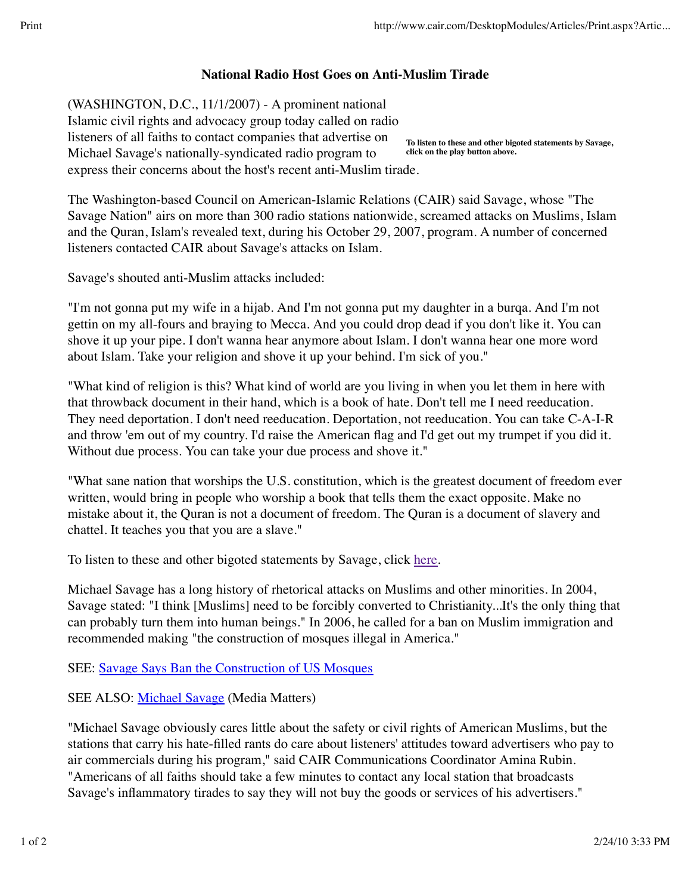## **National Radio Host Goes on Anti-Muslim Tirade**

(WASHINGTON, D.C., 11/1/2007) - A prominent national

**To listen to these and other bigoted statements by Savage, click on the play button above.** Islamic civil rights and advocacy group today called on radio listeners of all faiths to contact companies that advertise on Michael Savage's nationally-syndicated radio program to express their concerns about the host's recent anti-Muslim tirade.

The Washington-based Council on American-Islamic Relations (CAIR) said Savage, whose "The Savage Nation" airs on more than 300 radio stations nationwide, screamed attacks on Muslims, Islam and the Quran, Islam's revealed text, during his October 29, 2007, program. A number of concerned listeners contacted CAIR about Savage's attacks on Islam.

Savage's shouted anti-Muslim attacks included:

"I'm not gonna put my wife in a hijab. And I'm not gonna put my daughter in a burqa. And I'm not gettin on my all-fours and braying to Mecca. And you could drop dead if you don't like it. You can shove it up your pipe. I don't wanna hear anymore about Islam. I don't wanna hear one more word about Islam. Take your religion and shove it up your behind. I'm sick of you."

"What kind of religion is this? What kind of world are you living in when you let them in here with that throwback document in their hand, which is a book of hate. Don't tell me I need reeducation. They need deportation. I don't need reeducation. Deportation, not reeducation. You can take C-A-I-R and throw 'em out of my country. I'd raise the American flag and I'd get out my trumpet if you did it. Without due process. You can take your due process and shove it."

"What sane nation that worships the U.S. constitution, which is the greatest document of freedom ever written, would bring in people who worship a book that tells them the exact opposite. Make no mistake about it, the Quran is not a document of freedom. The Quran is a document of slavery and chattel. It teaches you that you are a slave."

To listen to these and other bigoted statements by Savage, click here.

Michael Savage has a long history of rhetorical attacks on Muslims and other minorities. In 2004, Savage stated: "I think [Muslims] need to be forcibly converted to Christianity...It's the only thing that can probably turn them into human beings." In 2006, he called for a ban on Muslim immigration and recommended making "the construction of mosques illegal in America."

SEE: Savage Says Ban the Construction of US Mosques

SEE ALSO: Michael Savage (Media Matters)

"Michael Savage obviously cares little about the safety or civil rights of American Muslims, but the stations that carry his hate-filled rants do care about listeners' attitudes toward advertisers who pay to air commercials during his program," said CAIR Communications Coordinator Amina Rubin. "Americans of all faiths should take a few minutes to contact any local station that broadcasts Savage's inflammatory tirades to say they will not buy the goods or services of his advertisers."